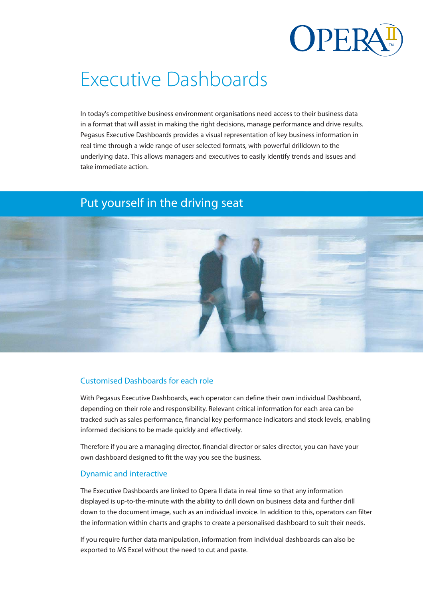

# Executive Dashboards

In today's competitive business environment organisations need access to their business data in a format that will assist in making the right decisions, manage performance and drive results. Pegasus Executive Dashboards provides a visual representation of key business information in real time through a wide range of user selected formats, with powerful drilldown to the underlying data. This allows managers and executives to easily identify trends and issues and take immediate action.

# Put yourself in the driving seat



## Customised Dashboards for each role

With Pegasus Executive Dashboards, each operator can define their own individual Dashboard, depending on their role and responsibility. Relevant critical information for each area can be tracked such as sales performance, financial key performance indicators and stock levels, enabling informed decisions to be made quickly and effectively.

Therefore if you are a managing director, financial director or sales director, you can have your own dashboard designed to fit the way you see the business.

#### Dynamic and interactive

The Executive Dashboards are linked to Opera II data in real time so that any information displayed is up-to-the-minute with the ability to drill down on business data and further drill down to the document image, such as an individual invoice. In addition to this, operators can filter the information within charts and graphs to create a personalised dashboard to suit their needs.

If you require further data manipulation, information from individual dashboards can also be exported to MS Excel without the need to cut and paste.